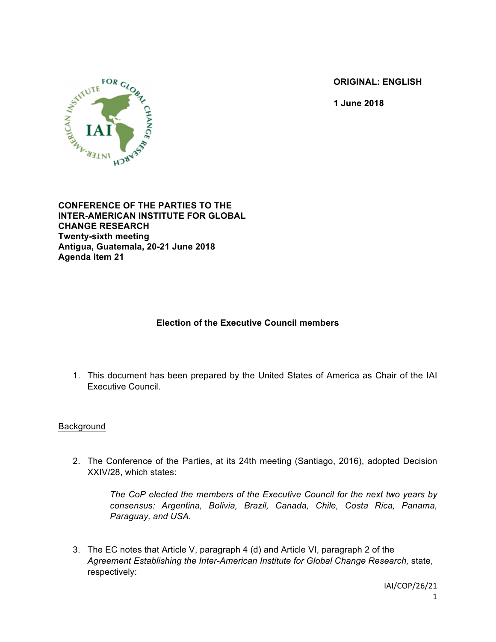**ORIGINAL: ENGLISH**

**1 June 2018**



**CONFERENCE OF THE PARTIES TO THE INTER-AMERICAN INSTITUTE FOR GLOBAL CHANGE RESEARCH Twenty-sixth meeting Antigua, Guatemala, 20-21 June 2018 Agenda item 21**

# **Election of the Executive Council members**

1. This document has been prepared by the United States of America as Chair of the IAI Executive Council.

# Background

2. The Conference of the Parties, at its 24th meeting (Santiago, 2016), adopted Decision XXIV/28, which states:

*The CoP elected the members of the Executive Council for the next two years by consensus: Argentina, Bolivia, Brazil, Canada, Chile, Costa Rica, Panama, Paraguay, and USA.*

3. The EC notes that Article V, paragraph 4 (d) and Article VI, paragraph 2 of the *Agreement Establishing the Inter-American Institute for Global Change Research,* state, respectively: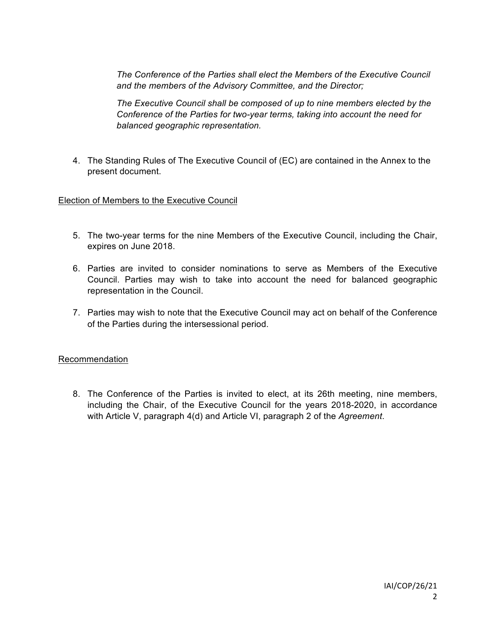*The Conference of the Parties shall elect the Members of the Executive Council and the members of the Advisory Committee, and the Director;*

*The Executive Council shall be composed of up to nine members elected by the Conference of the Parties for two-year terms, taking into account the need for balanced geographic representation.*

4. The Standing Rules of The Executive Council of (EC) are contained in the Annex to the present document.

# Election of Members to the Executive Council

- 5. The two-year terms for the nine Members of the Executive Council, including the Chair, expires on June 2018.
- 6. Parties are invited to consider nominations to serve as Members of the Executive Council. Parties may wish to take into account the need for balanced geographic representation in the Council.
- 7. Parties may wish to note that the Executive Council may act on behalf of the Conference of the Parties during the intersessional period.

# Recommendation

8. The Conference of the Parties is invited to elect, at its 26th meeting, nine members, including the Chair, of the Executive Council for the years 2018-2020, in accordance with Article V, paragraph 4(d) and Article VI, paragraph 2 of the *Agreement*.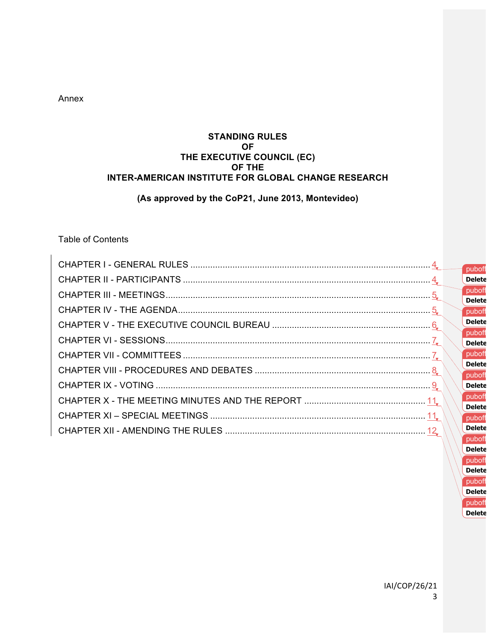Annex

# **STANDING RULES OF THE EXECUTIVE COUNCIL (EC) OF THE INTER-AMERICAN INSTITUTE FOR GLOBAL CHANGE RESEARCH**

# **(As approved by the CoP21, June 2013, Montevideo)**

# Table of Contents

| puboff                  |
|-------------------------|
| <b>Delete</b>           |
| puboff                  |
| <b>Delete</b><br>puboff |
| <b>Delete</b>           |
| puboff<br><b>Delete</b> |
| puboff                  |
| <b>Delete</b>           |
| puboff<br><b>Delete</b> |
| puboff                  |
| <b>Delete</b>           |
| puboff<br><b>Delete</b> |
| puboff                  |

**Delete** puboff **Delete** puboff **Delete** puboff **Delete**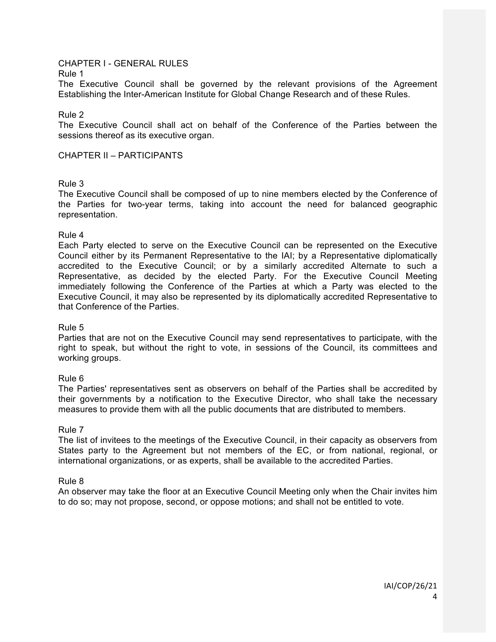# CHAPTER I - GENERAL RULES

#### Rule 1

The Executive Council shall be governed by the relevant provisions of the Agreement Establishing the Inter-American Institute for Global Change Research and of these Rules.

Rule 2

The Executive Council shall act on behalf of the Conference of the Parties between the sessions thereof as its executive organ.

CHAPTER II – PARTICIPANTS

# Rule 3

The Executive Council shall be composed of up to nine members elected by the Conference of the Parties for two-year terms, taking into account the need for balanced geographic representation.

Rule 4

Each Party elected to serve on the Executive Council can be represented on the Executive Council either by its Permanent Representative to the IAI; by a Representative diplomatically accredited to the Executive Council; or by a similarly accredited Alternate to such a Representative, as decided by the elected Party. For the Executive Council Meeting immediately following the Conference of the Parties at which a Party was elected to the Executive Council, it may also be represented by its diplomatically accredited Representative to that Conference of the Parties.

# Rule 5

Parties that are not on the Executive Council may send representatives to participate, with the right to speak, but without the right to vote, in sessions of the Council, its committees and working groups.

# Rule 6

The Parties' representatives sent as observers on behalf of the Parties shall be accredited by their governments by a notification to the Executive Director, who shall take the necessary measures to provide them with all the public documents that are distributed to members.

# Rule 7

The list of invitees to the meetings of the Executive Council, in their capacity as observers from States party to the Agreement but not members of the EC, or from national, regional, or international organizations, or as experts, shall be available to the accredited Parties.

# Rule 8

An observer may take the floor at an Executive Council Meeting only when the Chair invites him to do so; may not propose, second, or oppose motions; and shall not be entitled to vote.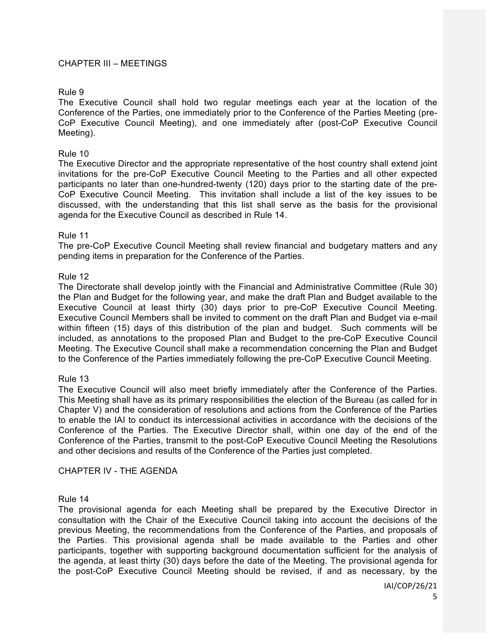# CHAPTER III – MEETINGS

# Rule 9

The Executive Council shall hold two regular meetings each year at the location of the Conference of the Parties, one immediately prior to the Conference of the Parties Meeting (pre-CoP Executive Council Meeting), and one immediately after (post-CoP Executive Council Meeting).

# Rule 10

The Executive Director and the appropriate representative of the host country shall extend joint invitations for the pre-CoP Executive Council Meeting to the Parties and all other expected participants no later than one-hundred-twenty (120) days prior to the starting date of the pre-CoP Executive Council Meeting. This invitation shall include a list of the key issues to be discussed, with the understanding that this list shall serve as the basis for the provisional agenda for the Executive Council as described in Rule 14.

#### Rule 11

The pre-CoP Executive Council Meeting shall review financial and budgetary matters and any pending items in preparation for the Conference of the Parties.

# Rule 12

The Directorate shall develop jointly with the Financial and Administrative Committee (Rule 30) the Plan and Budget for the following year, and make the draft Plan and Budget available to the Executive Council at least thirty (30) days prior to pre-CoP Executive Council Meeting. Executive Council Members shall be invited to comment on the draft Plan and Budget via e-mail within fifteen (15) days of this distribution of the plan and budget. Such comments will be included, as annotations to the proposed Plan and Budget to the pre-CoP Executive Council Meeting. The Executive Council shall make a recommendation concerning the Plan and Budget to the Conference of the Parties immediately following the pre-CoP Executive Council Meeting.

# Rule 13

The Executive Council will also meet briefly immediately after the Conference of the Parties. This Meeting shall have as its primary responsibilities the election of the Bureau (as called for in Chapter V) and the consideration of resolutions and actions from the Conference of the Parties to enable the IAI to conduct its intercessional activities in accordance with the decisions of the Conference of the Parties. The Executive Director shall, within one day of the end of the Conference of the Parties, transmit to the post-CoP Executive Council Meeting the Resolutions and other decisions and results of the Conference of the Parties just completed.

# CHAPTER IV - THE AGENDA

# Rule 14

The provisional agenda for each Meeting shall be prepared by the Executive Director in consultation with the Chair of the Executive Council taking into account the decisions of the previous Meeting, the recommendations from the Conference of the Parties, and proposals of the Parties. This provisional agenda shall be made available to the Parties and other participants, together with supporting background documentation sufficient for the analysis of the agenda, at least thirty (30) days before the date of the Meeting. The provisional agenda for the post-CoP Executive Council Meeting should be revised, if and as necessary, by the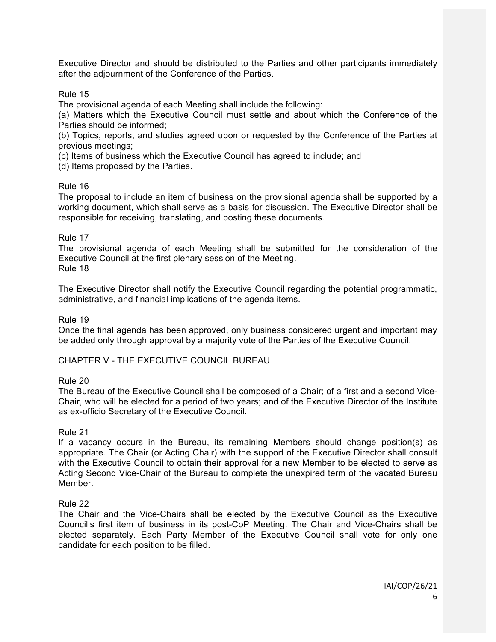Executive Director and should be distributed to the Parties and other participants immediately after the adjournment of the Conference of the Parties.

Rule 15

The provisional agenda of each Meeting shall include the following:

(a) Matters which the Executive Council must settle and about which the Conference of the Parties should be informed;

(b) Topics, reports, and studies agreed upon or requested by the Conference of the Parties at previous meetings;

(c) Items of business which the Executive Council has agreed to include; and

(d) Items proposed by the Parties.

# Rule 16

The proposal to include an item of business on the provisional agenda shall be supported by a working document, which shall serve as a basis for discussion. The Executive Director shall be responsible for receiving, translating, and posting these documents.

# Rule 17

The provisional agenda of each Meeting shall be submitted for the consideration of the Executive Council at the first plenary session of the Meeting. Rule 18

The Executive Director shall notify the Executive Council regarding the potential programmatic, administrative, and financial implications of the agenda items.

Rule 19

Once the final agenda has been approved, only business considered urgent and important may be added only through approval by a majority vote of the Parties of the Executive Council.

# CHAPTER V - THE EXECUTIVE COUNCIL BUREAU

# Rule 20

The Bureau of the Executive Council shall be composed of a Chair; of a first and a second Vice-Chair, who will be elected for a period of two years; and of the Executive Director of the Institute as ex-officio Secretary of the Executive Council.

# Rule 21

If a vacancy occurs in the Bureau, its remaining Members should change position(s) as appropriate. The Chair (or Acting Chair) with the support of the Executive Director shall consult with the Executive Council to obtain their approval for a new Member to be elected to serve as Acting Second Vice-Chair of the Bureau to complete the unexpired term of the vacated Bureau Member.

# Rule 22

The Chair and the Vice-Chairs shall be elected by the Executive Council as the Executive Council's first item of business in its post-CoP Meeting. The Chair and Vice-Chairs shall be elected separately. Each Party Member of the Executive Council shall vote for only one candidate for each position to be filled.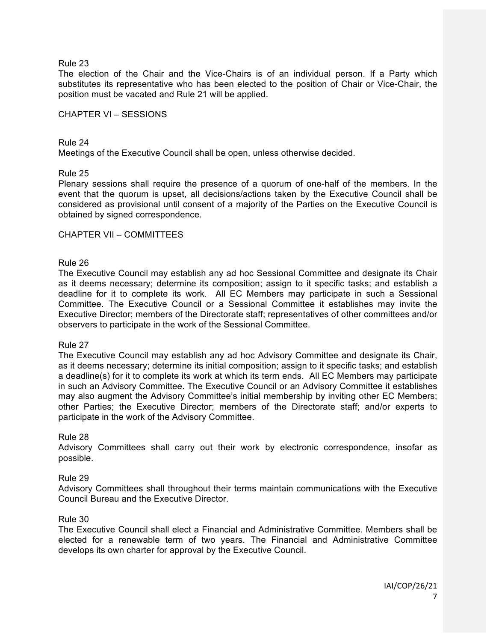The election of the Chair and the Vice-Chairs is of an individual person. If a Party which substitutes its representative who has been elected to the position of Chair or Vice-Chair, the position must be vacated and Rule 21 will be applied.

#### CHAPTER VI – SESSIONS

#### Rule 24 Meetings of the Executive Council shall be open, unless otherwise decided.

# Rule 25

Plenary sessions shall require the presence of a quorum of one-half of the members. In the event that the quorum is upset, all decisions/actions taken by the Executive Council shall be considered as provisional until consent of a majority of the Parties on the Executive Council is obtained by signed correspondence.

# CHAPTER VII – COMMITTEES

#### Rule 26

The Executive Council may establish any ad hoc Sessional Committee and designate its Chair as it deems necessary; determine its composition; assign to it specific tasks; and establish a deadline for it to complete its work. All EC Members may participate in such a Sessional Committee. The Executive Council or a Sessional Committee it establishes may invite the Executive Director; members of the Directorate staff; representatives of other committees and/or observers to participate in the work of the Sessional Committee.

#### Rule 27

The Executive Council may establish any ad hoc Advisory Committee and designate its Chair, as it deems necessary; determine its initial composition; assign to it specific tasks; and establish a deadline(s) for it to complete its work at which its term ends. All EC Members may participate in such an Advisory Committee. The Executive Council or an Advisory Committee it establishes may also augment the Advisory Committee's initial membership by inviting other EC Members; other Parties; the Executive Director; members of the Directorate staff; and/or experts to participate in the work of the Advisory Committee.

# Rule 28

Advisory Committees shall carry out their work by electronic correspondence, insofar as possible.

#### Rule 29

Advisory Committees shall throughout their terms maintain communications with the Executive Council Bureau and the Executive Director.

#### Rule 30

The Executive Council shall elect a Financial and Administrative Committee. Members shall be elected for a renewable term of two years. The Financial and Administrative Committee develops its own charter for approval by the Executive Council.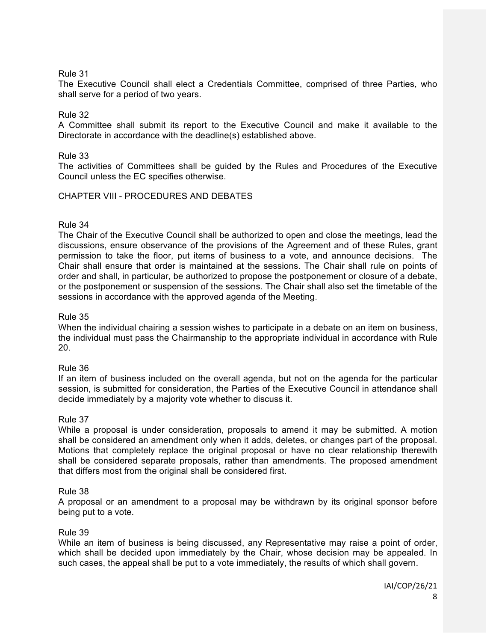The Executive Council shall elect a Credentials Committee, comprised of three Parties, who shall serve for a period of two years.

# Rule 32

A Committee shall submit its report to the Executive Council and make it available to the Directorate in accordance with the deadline(s) established above.

# Rule 33

The activities of Committees shall be guided by the Rules and Procedures of the Executive Council unless the EC specifies otherwise.

# CHAPTER VIII - PROCEDURES AND DEBATES

# Rule 34

The Chair of the Executive Council shall be authorized to open and close the meetings, lead the discussions, ensure observance of the provisions of the Agreement and of these Rules, grant permission to take the floor, put items of business to a vote, and announce decisions. The Chair shall ensure that order is maintained at the sessions. The Chair shall rule on points of order and shall, in particular, be authorized to propose the postponement or closure of a debate, or the postponement or suspension of the sessions. The Chair shall also set the timetable of the sessions in accordance with the approved agenda of the Meeting.

# Rule 35

When the individual chairing a session wishes to participate in a debate on an item on business, the individual must pass the Chairmanship to the appropriate individual in accordance with Rule 20.

# Rule 36

If an item of business included on the overall agenda, but not on the agenda for the particular session, is submitted for consideration, the Parties of the Executive Council in attendance shall decide immediately by a majority vote whether to discuss it.

# Rule 37

While a proposal is under consideration, proposals to amend it may be submitted. A motion shall be considered an amendment only when it adds, deletes, or changes part of the proposal. Motions that completely replace the original proposal or have no clear relationship therewith shall be considered separate proposals, rather than amendments. The proposed amendment that differs most from the original shall be considered first.

# Rule 38

A proposal or an amendment to a proposal may be withdrawn by its original sponsor before being put to a vote.

# Rule 39

While an item of business is being discussed, any Representative may raise a point of order, which shall be decided upon immediately by the Chair, whose decision may be appealed. In such cases, the appeal shall be put to a vote immediately, the results of which shall govern.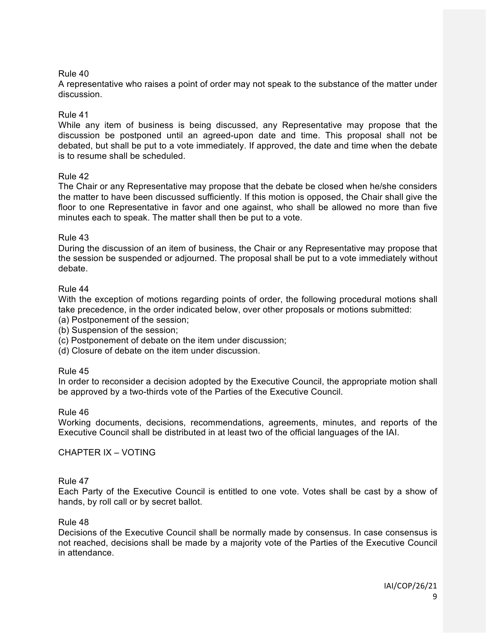A representative who raises a point of order may not speak to the substance of the matter under discussion.

# Rule 41

While any item of business is being discussed, any Representative may propose that the discussion be postponed until an agreed-upon date and time. This proposal shall not be debated, but shall be put to a vote immediately. If approved, the date and time when the debate is to resume shall be scheduled.

# Rule 42

The Chair or any Representative may propose that the debate be closed when he/she considers the matter to have been discussed sufficiently. If this motion is opposed, the Chair shall give the floor to one Representative in favor and one against, who shall be allowed no more than five minutes each to speak. The matter shall then be put to a vote.

# Rule 43

During the discussion of an item of business, the Chair or any Representative may propose that the session be suspended or adjourned. The proposal shall be put to a vote immediately without debate.

# Rule 44

With the exception of motions regarding points of order, the following procedural motions shall take precedence, in the order indicated below, over other proposals or motions submitted:

(a) Postponement of the session;

(b) Suspension of the session;

(c) Postponement of debate on the item under discussion;

(d) Closure of debate on the item under discussion.

# Rule 45

In order to reconsider a decision adopted by the Executive Council, the appropriate motion shall be approved by a two-thirds vote of the Parties of the Executive Council.

# Rule 46

Working documents, decisions, recommendations, agreements, minutes, and reports of the Executive Council shall be distributed in at least two of the official languages of the IAI.

# CHAPTER IX – VOTING

# Rule 47

Each Party of the Executive Council is entitled to one vote. Votes shall be cast by a show of hands, by roll call or by secret ballot.

# Rule 48

Decisions of the Executive Council shall be normally made by consensus. In case consensus is not reached, decisions shall be made by a majority vote of the Parties of the Executive Council in attendance.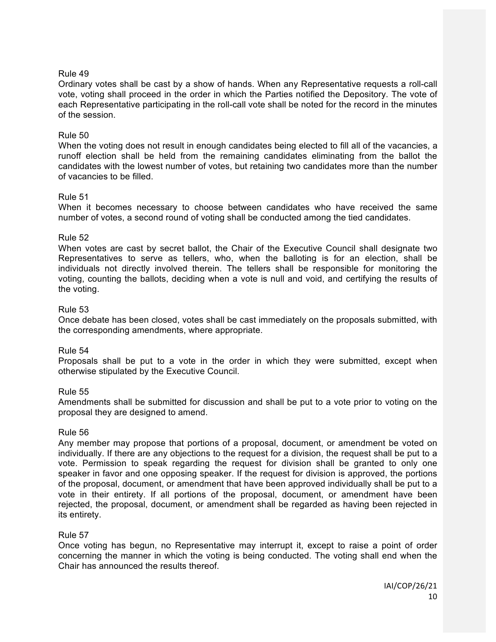Ordinary votes shall be cast by a show of hands. When any Representative requests a roll-call vote, voting shall proceed in the order in which the Parties notified the Depository. The vote of each Representative participating in the roll-call vote shall be noted for the record in the minutes of the session.

# Rule 50

When the voting does not result in enough candidates being elected to fill all of the vacancies, a runoff election shall be held from the remaining candidates eliminating from the ballot the candidates with the lowest number of votes, but retaining two candidates more than the number of vacancies to be filled.

# Rule 51

When it becomes necessary to choose between candidates who have received the same number of votes, a second round of voting shall be conducted among the tied candidates.

# Rule 52

When votes are cast by secret ballot, the Chair of the Executive Council shall designate two Representatives to serve as tellers, who, when the balloting is for an election, shall be individuals not directly involved therein. The tellers shall be responsible for monitoring the voting, counting the ballots, deciding when a vote is null and void, and certifying the results of the voting.

# Rule 53

Once debate has been closed, votes shall be cast immediately on the proposals submitted, with the corresponding amendments, where appropriate.

# Rule 54

Proposals shall be put to a vote in the order in which they were submitted, except when otherwise stipulated by the Executive Council.

# Rule 55

Amendments shall be submitted for discussion and shall be put to a vote prior to voting on the proposal they are designed to amend.

# Rule 56

Any member may propose that portions of a proposal, document, or amendment be voted on individually. If there are any objections to the request for a division, the request shall be put to a vote. Permission to speak regarding the request for division shall be granted to only one speaker in favor and one opposing speaker. If the request for division is approved, the portions of the proposal, document, or amendment that have been approved individually shall be put to a vote in their entirety. If all portions of the proposal, document, or amendment have been rejected, the proposal, document, or amendment shall be regarded as having been rejected in its entirety.

# Rule 57

Once voting has begun, no Representative may interrupt it, except to raise a point of order concerning the manner in which the voting is being conducted. The voting shall end when the Chair has announced the results thereof.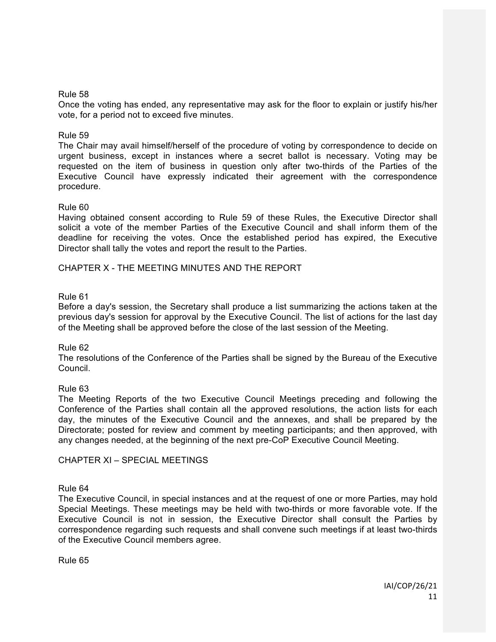Once the voting has ended, any representative may ask for the floor to explain or justify his/her vote, for a period not to exceed five minutes.

# Rule 59

The Chair may avail himself/herself of the procedure of voting by correspondence to decide on urgent business, except in instances where a secret ballot is necessary. Voting may be requested on the item of business in question only after two-thirds of the Parties of the Executive Council have expressly indicated their agreement with the correspondence procedure.

# Rule 60

Having obtained consent according to Rule 59 of these Rules, the Executive Director shall solicit a vote of the member Parties of the Executive Council and shall inform them of the deadline for receiving the votes. Once the established period has expired, the Executive Director shall tally the votes and report the result to the Parties.

# CHAPTER X - THE MEETING MINUTES AND THE REPORT

# Rule 61

Before a day's session, the Secretary shall produce a list summarizing the actions taken at the previous day's session for approval by the Executive Council. The list of actions for the last day of the Meeting shall be approved before the close of the last session of the Meeting.

# Rule 62

The resolutions of the Conference of the Parties shall be signed by the Bureau of the Executive Council.

# Rule 63

The Meeting Reports of the two Executive Council Meetings preceding and following the Conference of the Parties shall contain all the approved resolutions, the action lists for each day, the minutes of the Executive Council and the annexes, and shall be prepared by the Directorate; posted for review and comment by meeting participants; and then approved, with any changes needed, at the beginning of the next pre-CoP Executive Council Meeting.

# CHAPTER XI – SPECIAL MEETINGS

# Rule 64

The Executive Council, in special instances and at the request of one or more Parties, may hold Special Meetings. These meetings may be held with two-thirds or more favorable vote. If the Executive Council is not in session, the Executive Director shall consult the Parties by correspondence regarding such requests and shall convene such meetings if at least two-thirds of the Executive Council members agree.

Rule 65